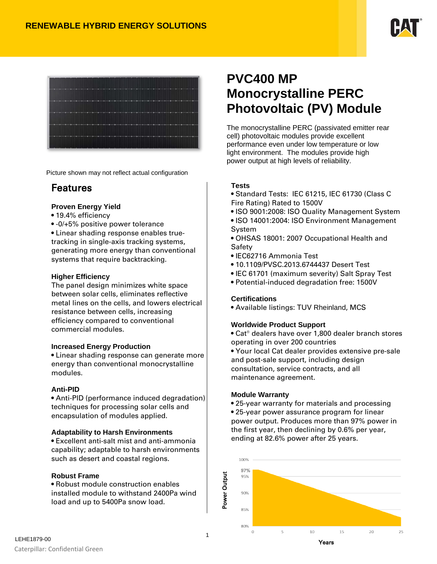



Picture shown may not reflect actual configuration

# Features

### **Proven Energy Yield**

- 19.4% efficiency
- -0/+5% positive power tolerance

• Linear shading response enables truetracking in single-axis tracking systems, generating more energy than conventional systems that require backtracking.

### **Higher Efficiency**

The panel design minimizes white space between solar cells, eliminates reflective metal lines on the cells, and lowers electrical resistance between cells, increasing efficiency compared to conventional commercial modules.

## **Increased Energy Production**

• Linear shading response can generate more energy than conventional monocrystalline modules.

### **Anti-PID**

• Anti-PID (performance induced degradation) techniques for processing solar cells and encapsulation of modules applied.

## **Adaptability to Harsh Environments**

• Excellent anti-salt mist and anti-ammonia capability; adaptable to harsh environments such as desert and coastal regions.

### **Robust Frame**

• Robust module construction enables installed module to withstand 2400Pa wind load and up to 5400Pa snow load.

# **PVC400 MP Monocrystalline PERC Photovoltaic (PV) Module**

The monocrystalline PERC (passivated emitter rear cell) photovoltaic modules provide excellent performance even under low temperature or low light environment. The modules provide high power output at high levels of reliability.

## **Tests**

- Standard Tests: IEC 61215, IEC 61730 (Class C Fire Rating) Rated to 1500V
- ISO 9001:2008: ISO Quality Management System
- ISO 14001:2004: ISO Environment Management **System**
- OHSAS 18001: 2007 Occupational Health and Safety
- IEC62716 Ammonia Test
- 10.1109/PVSC.2013.6744437 Desert Test
- IEC 61701 (maximum severity) Salt Spray Test
- Potential-induced degradation free: 1500V

## **Certifications**

• Available listings: TUV Rheinland, MCS

## **Worldwide Product Support**

- Cat® dealers have over 1,800 dealer branch stores operating in over 200 countries
- Your local Cat dealer provides extensive pre-sale and post-sale support, including design consultation, service contracts, and all maintenance agreement.

### **Module Warranty**

- 25-year warranty for materials and processing • 25-year power assurance program for linear power output. Produces more than 97% power in the first year, then declining by 0.6% per year,
- ending at 82.6% power after 25 years.